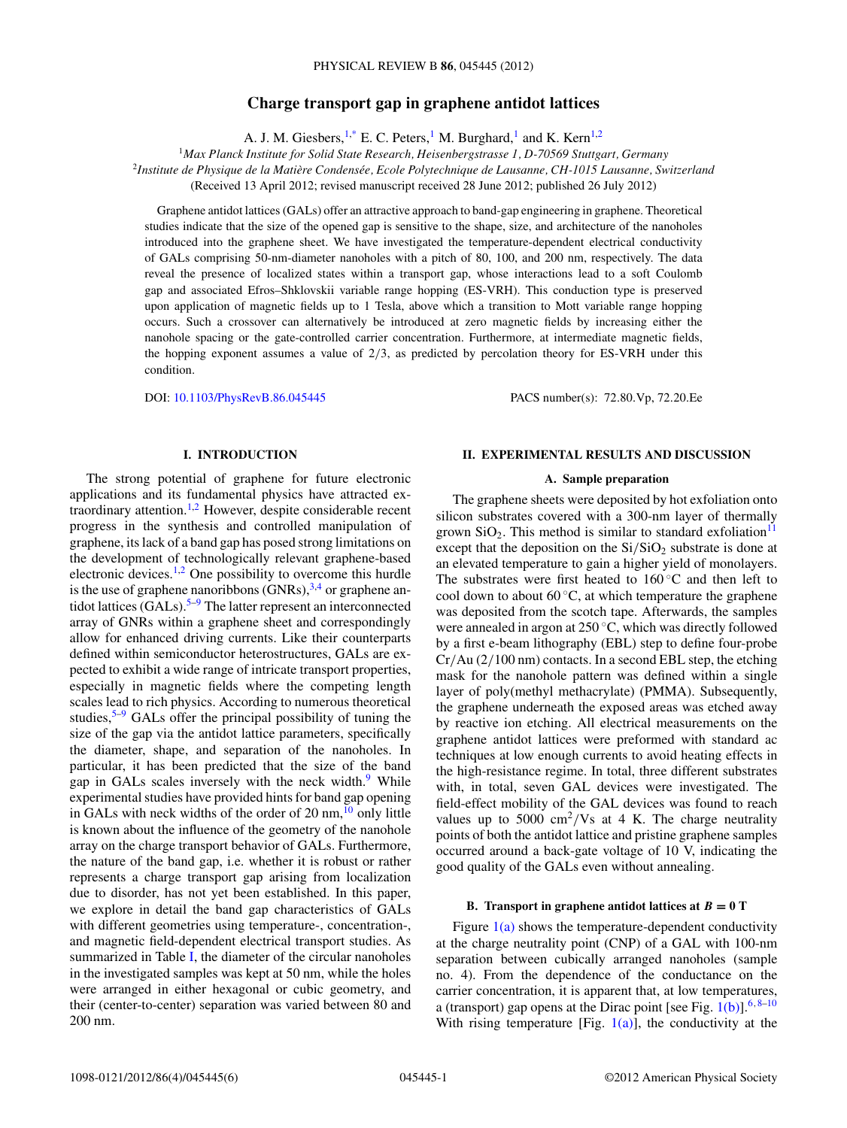# **Charge transport gap in graphene antidot lattices**

A. J. M. Giesbers,  $1,^*$  E. C. Peters, M. Burghard, and K. Kern<sup>1,2</sup>

<sup>1</sup>*Max Planck Institute for Solid State Research, Heisenbergstrasse 1, D-70569 Stuttgart, Germany* <sup>2</sup>*Institute de Physique de la Matiere Condens ` ee, Ecole Polytechnique de Lausanne, CH-1015 Lausanne, Switzerland ´* (Received 13 April 2012; revised manuscript received 28 June 2012; published 26 July 2012)

Graphene antidot lattices (GALs) offer an attractive approach to band-gap engineering in graphene. Theoretical studies indicate that the size of the opened gap is sensitive to the shape, size, and architecture of the nanoholes introduced into the graphene sheet. We have investigated the temperature-dependent electrical conductivity of GALs comprising 50-nm-diameter nanoholes with a pitch of 80, 100, and 200 nm, respectively. The data reveal the presence of localized states within a transport gap, whose interactions lead to a soft Coulomb gap and associated Efros–Shklovskii variable range hopping (ES-VRH). This conduction type is preserved upon application of magnetic fields up to 1 Tesla, above which a transition to Mott variable range hopping occurs. Such a crossover can alternatively be introduced at zero magnetic fields by increasing either the nanohole spacing or the gate-controlled carrier concentration. Furthermore, at intermediate magnetic fields, the hopping exponent assumes a value of 2*/*3, as predicted by percolation theory for ES-VRH under this condition.

DOI: [10.1103/PhysRevB.86.045445](http://dx.doi.org/10.1103/PhysRevB.86.045445) PACS number(s): 72*.*80*.*Vp, 72*.*20*.*Ee

## **I. INTRODUCTION**

The strong potential of graphene for future electronic applications and its fundamental physics have attracted extraordinary attention.[1,2](#page-4-0) However, despite considerable recent progress in the synthesis and controlled manipulation of graphene, its lack of a band gap has posed strong limitations on the development of technologically relevant graphene-based electronic devices. $1,2$  One possibility to overcome this hurdle is the use of graphene nanoribbons  $(GNRs)$ ,  $3,4$  or graphene antidot lattices  $(GALs).<sup>5-9</sup>$  $(GALs).<sup>5-9</sup>$  $(GALs).<sup>5-9</sup>$  The latter represent an interconnected array of GNRs within a graphene sheet and correspondingly allow for enhanced driving currents. Like their counterparts defined within semiconductor heterostructures, GALs are expected to exhibit a wide range of intricate transport properties, especially in magnetic fields where the competing length scales lead to rich physics. According to numerous theoretical studies, $5-9$  $5-9$  GALs offer the principal possibility of tuning the size of the gap via the antidot lattice parameters, specifically the diameter, shape, and separation of the nanoholes. In particular, it has been predicted that the size of the band gap in GALs scales inversely with the neck width.<sup>9</sup> While experimental studies have provided hints for band gap opening in GALs with neck widths of the order of 20 nm, $^{10}$  $^{10}$  $^{10}$  only little is known about the influence of the geometry of the nanohole array on the charge transport behavior of GALs. Furthermore, the nature of the band gap, i.e. whether it is robust or rather represents a charge transport gap arising from localization due to disorder, has not yet been established. In this paper, we explore in detail the band gap characteristics of GALs with different geometries using temperature-, concentration-, and magnetic field-dependent electrical transport studies. As summarized in Table [I,](#page-1-0) the diameter of the circular nanoholes in the investigated samples was kept at 50 nm, while the holes were arranged in either hexagonal or cubic geometry, and their (center-to-center) separation was varied between 80 and 200 nm.

#### **II. EXPERIMENTAL RESULTS AND DISCUSSION**

### **A. Sample preparation**

The graphene sheets were deposited by hot exfoliation onto silicon substrates covered with a 300-nm layer of thermally grown  $SiO<sub>2</sub>$ . This method is similar to standard exfoliation<sup>[11](#page-5-0)</sup> except that the deposition on the  $Si/SiO<sub>2</sub>$  substrate is done at an elevated temperature to gain a higher yield of monolayers. The substrates were first heated to  $160\degree C$  and then left to cool down to about  $60^{\circ}$ C, at which temperature the graphene was deposited from the scotch tape. Afterwards, the samples were annealed in argon at 250 ◦C, which was directly followed by a first e-beam lithography (EBL) step to define four-probe Cr*/*Au (2*/*100 nm) contacts. In a second EBL step, the etching mask for the nanohole pattern was defined within a single layer of poly(methyl methacrylate) (PMMA). Subsequently, the graphene underneath the exposed areas was etched away by reactive ion etching. All electrical measurements on the graphene antidot lattices were preformed with standard ac techniques at low enough currents to avoid heating effects in the high-resistance regime. In total, three different substrates with, in total, seven GAL devices were investigated. The field-effect mobility of the GAL devices was found to reach values up to 5000  $\text{cm}^2/\text{Vs}$  at 4 K. The charge neutrality points of both the antidot lattice and pristine graphene samples occurred around a back-gate voltage of 10 V, indicating the good quality of the GALs even without annealing.

#### **B.** Transport in graphene antidot lattices at  $B = 0$  T

Figure  $1(a)$  shows the temperature-dependent conductivity at the charge neutrality point (CNP) of a GAL with 100-nm separation between cubically arranged nanoholes (sample no. 4). From the dependence of the conductance on the carrier concentration, it is apparent that, at low temperatures, a (transport) gap opens at the Dirac point [see Fig. [1\(b\)\]](#page-1-0).[6](#page-4-0)*,*[8–10](#page-5-0) With rising temperature [Fig.  $1(a)$ ], the conductivity at the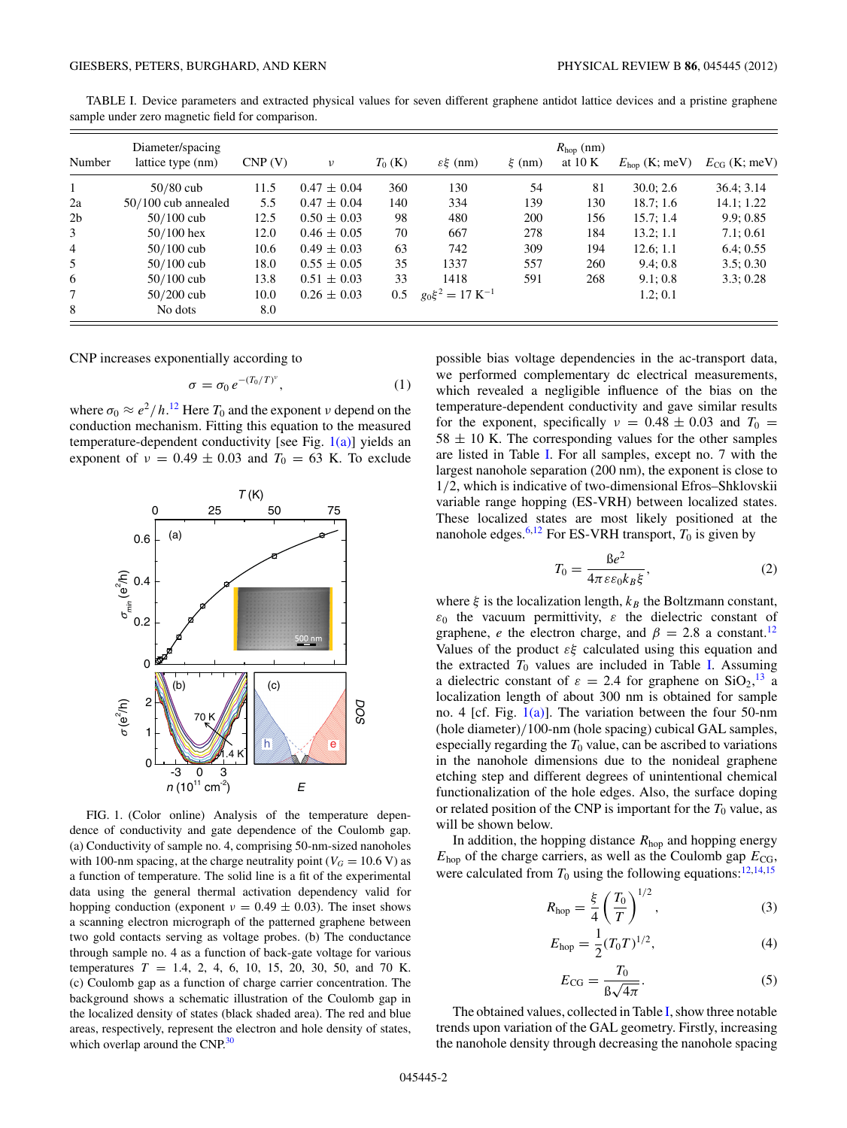| Number         | Diameter/spacing<br>lattice type (nm) | CNP(V) | $\nu$           | $T_0$ (K) | $\mathcal{E}\xi$ (nm)           | $\xi$ (nm) | $R_{\text{hop}}$ (nm)<br>at $10 K$ | $E_{\text{hop}}$ (K; meV) | $E_{CG}$ (K; meV) |
|----------------|---------------------------------------|--------|-----------------|-----------|---------------------------------|------------|------------------------------------|---------------------------|-------------------|
| $\mathbf{1}$   | $50/80$ cub                           | 11.5   | $0.47 \pm 0.04$ | 360       | 130                             | 54         | 81                                 | 30.0; 2.6                 | 36.4; 3.14        |
| 2a             | $50/100$ cub annealed                 | 5.5    | $0.47 \pm 0.04$ | 140       | 334                             | 139        | 130                                | 18.7; 1.6                 | 14.1; 1.22        |
| 2 <sub>b</sub> | $50/100$ cub                          | 12.5   | $0.50 \pm 0.03$ | 98        | 480                             | 200        | 156                                | 15.7; 1.4                 | 9.9:0.85          |
| 3              | $50/100$ hex                          | 12.0   | $0.46 \pm 0.05$ | 70        | 667                             | 278        | 184                                | 13.2; 1.1                 | 7.1:0.61          |
| $\overline{4}$ | $50/100$ cub                          | 10.6   | $0.49 \pm 0.03$ | 63        | 742                             | 309        | 194                                | 12.6; 1.1                 | 6.4:0.55          |
| 5              | $50/100$ cub                          | 18.0   | $0.55 \pm 0.05$ | 35        | 1337                            | 557        | 260                                | 9.4:0.8                   | 3.5:0.30          |
| 6              | $50/100$ cub                          | 13.8   | $0.51 \pm 0.03$ | 33        | 1418                            | 591        | 268                                | 9.1:0.8                   | 3.3:0.28          |
| 7              | $50/200$ cub                          | 10.0   | $0.26 \pm 0.03$ | 0.5       | $g_0 \xi^2 = 17 \text{ K}^{-1}$ |            |                                    | 1.2; 0.1                  |                   |
| 8              | No dots                               | 8.0    |                 |           |                                 |            |                                    |                           |                   |

<span id="page-1-0"></span>TABLE I. Device parameters and extracted physical values for seven different graphene antidot lattice devices and a pristine graphene sample under zero magnetic field for comparison.

CNP increases exponentially according to

$$
\sigma = \sigma_0 e^{-(T_0/T)^{\nu}}, \qquad (1)
$$

where  $\sigma_0 \approx e^2/h$ .<sup>[12](#page-5-0)</sup> Here  $T_0$  and the exponent *ν* depend on the conduction mechanism. Fitting this equation to the measured temperature-dependent conductivity [see Fig.  $1(a)$ ] yields an exponent of  $v = 0.49 \pm 0.03$  and  $T_0 = 63$  K. To exclude



FIG. 1. (Color online) Analysis of the temperature dependence of conductivity and gate dependence of the Coulomb gap. (a) Conductivity of sample no. 4, comprising 50-nm-sized nanoholes with 100-nm spacing, at the charge neutrality point ( $V_G = 10.6$  V) as a function of temperature. The solid line is a fit of the experimental data using the general thermal activation dependency valid for hopping conduction (exponent  $\nu = 0.49 \pm 0.03$ ). The inset shows a scanning electron micrograph of the patterned graphene between two gold contacts serving as voltage probes. (b) The conductance through sample no. 4 as a function of back-gate voltage for various temperatures *T* = 1.4, 2, 4, 6, 10, 15, 20, 30, 50, and 70 K. (c) Coulomb gap as a function of charge carrier concentration. The background shows a schematic illustration of the Coulomb gap in the localized density of states (black shaded area). The red and blue areas, respectively, represent the electron and hole density of states, which overlap around the CNP.<sup>30</sup>

possible bias voltage dependencies in the ac-transport data, we performed complementary dc electrical measurements, which revealed a negligible influence of the bias on the temperature-dependent conductivity and gave similar results for the exponent, specifically  $v = 0.48 \pm 0.03$  and  $T_0 =$  $58 \pm 10$  K. The corresponding values for the other samples are listed in Table I. For all samples, except no. 7 with the largest nanohole separation (200 nm), the exponent is close to 1*/*2, which is indicative of two-dimensional Efros–Shklovskii variable range hopping (ES-VRH) between localized states. These localized states are most likely positioned at the nanohole edges.<sup>[6](#page-4-0)[,12](#page-5-0)</sup> For ES-VRH transport,  $T_0$  is given by

$$
T_0 = \frac{\beta e^2}{4\pi \varepsilon \varepsilon_0 k_B \xi},\tag{2}
$$

where  $\xi$  is the localization length,  $k_B$  the Boltzmann constant, *ε*<sup>0</sup> the vacuum permittivity, *ε* the dielectric constant of graphene, *e* the electron charge, and  $\beta = 2.8$  a constant.<sup>12</sup> Values of the product *εξ* calculated using this equation and the extracted  $T_0$  values are included in Table I. Assuming a dielectric constant of  $\varepsilon = 2.4$  for graphene on SiO<sub>2</sub>,<sup>[13](#page-5-0)</sup> a localization length of about 300 nm is obtained for sample no. 4 [cf. Fig.  $1(a)$ ]. The variation between the four 50-nm (hole diameter)*/*100-nm (hole spacing) cubical GAL samples, especially regarding the  $T_0$  value, can be ascribed to variations in the nanohole dimensions due to the nonideal graphene etching step and different degrees of unintentional chemical functionalization of the hole edges. Also, the surface doping or related position of the CNP is important for the  $T_0$  value, as will be shown below.

In addition, the hopping distance  $R_{\text{hop}}$  and hopping energy  $E_{\text{hop}}$  of the charge carriers, as well as the Coulomb gap  $E_{\text{CG}}$ , were calculated from  $T_0$  using the following equations:<sup>12,14,15</sup>

$$
R_{\rm hop} = \frac{\xi}{4} \left( \frac{T_0}{T} \right)^{1/2},
$$
 (3)

$$
E_{\rm hop} = \frac{1}{2} (T_0 T)^{1/2},\tag{4}
$$

$$
E_{\text{CG}} = \frac{T_0}{\beta \sqrt{4\pi}}.\tag{5}
$$

The obtained values, collected in Table I, show three notable trends upon variation of the GAL geometry. Firstly, increasing the nanohole density through decreasing the nanohole spacing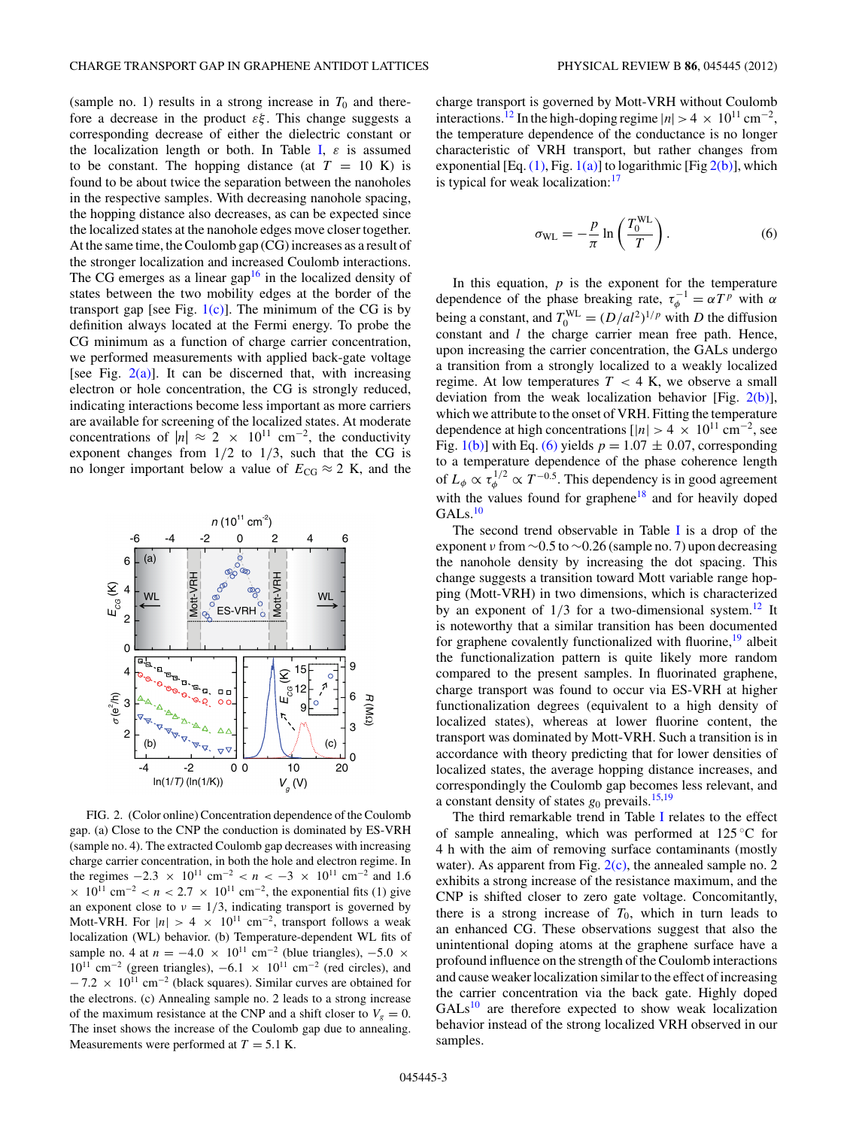<span id="page-2-0"></span>(sample no. 1) results in a strong increase in  $T_0$  and therefore a decrease in the product *εξ* . This change suggests a corresponding decrease of either the dielectric constant or the localization length or both. In Table [I,](#page-1-0) *ε* is assumed to be constant. The hopping distance (at  $T = 10$  K) is found to be about twice the separation between the nanoholes in the respective samples. With decreasing nanohole spacing, the hopping distance also decreases, as can be expected since the localized states at the nanohole edges move closer together. At the same time, the Coulomb gap (CG) increases as a result of the stronger localization and increased Coulomb interactions. The CG emerges as a linear gap<sup>16</sup> in the localized density of states between the two mobility edges at the border of the transport gap [see Fig.  $1(c)$ ]. The minimum of the CG is by definition always located at the Fermi energy. To probe the CG minimum as a function of charge carrier concentration, we performed measurements with applied back-gate voltage [see Fig.  $2(a)$ ]. It can be discerned that, with increasing electron or hole concentration, the CG is strongly reduced, indicating interactions become less important as more carriers are available for screening of the localized states. At moderate concentrations of  $|n| \approx 2 \times 10^{11}$  cm<sup>-2</sup>, the conductivity exponent changes from 1*/*2 to 1*/*3, such that the CG is no longer important below a value of  $E_{CG} \approx 2$  K, and the



FIG. 2. (Color online) Concentration dependence of the Coulomb gap. (a) Close to the CNP the conduction is dominated by ES-VRH (sample no. 4). The extracted Coulomb gap decreases with increasing charge carrier concentration, in both the hole and electron regime. In the regimes  $-2.3 \times 10^{11}$  cm<sup>-2</sup>  $\lt n \lt -3 \times 10^{11}$  cm<sup>-2</sup> and 1.6  $\times$  10<sup>11</sup> cm<sup>-2</sup> < *n* < 2.7  $\times$  10<sup>11</sup> cm<sup>-2</sup>, the exponential fits (1) give an exponent close to  $\nu = 1/3$ , indicating transport is governed by Mott-VRH. For  $|n| > 4 \times 10^{11}$  cm<sup>-2</sup>, transport follows a weak localization (WL) behavior. (b) Temperature-dependent WL fits of sample no. 4 at  $n = -4.0 \times 10^{11}$  cm<sup>-2</sup> (blue triangles), -5.0 ×  $10^{11}$  cm<sup>-2</sup> (green triangles),  $-6.1 \times 10^{11}$  cm<sup>-2</sup> (red circles), and  $-7.2 \times 10^{11}$  cm<sup>-2</sup> (black squares). Similar curves are obtained for the electrons. (c) Annealing sample no. 2 leads to a strong increase of the maximum resistance at the CNP and a shift closer to  $V_g = 0$ . The inset shows the increase of the Coulomb gap due to annealing. Measurements were performed at  $T = 5.1$  K.

charge transport is governed by Mott-VRH without Coulomb interactions.<sup>[12](#page-5-0)</sup> In the high-doping regime  $|n| > 4 \times 10^{11}$  cm<sup>-2</sup>, the temperature dependence of the conductance is no longer characteristic of VRH transport, but rather changes from exponential [Eq.  $(1)$ , Fig.  $1(a)$ ] to logarithmic [Fig  $2(b)$ ], which is typical for weak localization:<sup>[17](#page-5-0)</sup>

$$
\sigma_{\rm WL} = -\frac{p}{\pi} \ln \left( \frac{T_0^{\rm WL}}{T} \right). \tag{6}
$$

In this equation,  $p$  is the exponent for the temperature dependence of the phase breaking rate,  $\tau_{\phi}^{-1} = \alpha T^{\rho}$  with  $\alpha$ being a constant, and  $T_0^{WL} = (D/al^2)^{1/p}$  with *D* the diffusion constant and *l* the charge carrier mean free path. Hence, upon increasing the carrier concentration, the GALs undergo a transition from a strongly localized to a weakly localized regime. At low temperatures  $T < 4$  K, we observe a small deviation from the weak localization behavior [Fig.  $2(b)$ ], which we attribute to the onset of VRH. Fitting the temperature dependence at high concentrations  $[|n| > 4 \times 10^{11} \text{ cm}^{-2}]$ , see Fig. [1\(b\)\]](#page-1-0) with Eq. (6) yields  $p = 1.07 \pm 0.07$ , corresponding to a temperature dependence of the phase coherence length of  $L_{\phi} \propto \tau_{\phi}^{1/2} \propto T^{-0.5}$ . This dependency is in good agreement with the values found for graphene<sup>18</sup> and for heavily doped GAL<sub>s[.10](#page-5-0)</sub>

The second trend observable in Table [I](#page-1-0) is a drop of the exponent *ν* from ∼0.5 to ∼0.26 (sample no. 7) upon decreasing the nanohole density by increasing the dot spacing. This change suggests a transition toward Mott variable range hopping (Mott-VRH) in two dimensions, which is characterized by an exponent of  $1/3$  for a two-dimensional system.<sup>12</sup> It is noteworthy that a similar transition has been documented for graphene covalently functionalized with fluorine,  $\frac{19}{9}$  $\frac{19}{9}$  $\frac{19}{9}$  albeit the functionalization pattern is quite likely more random compared to the present samples. In fluorinated graphene, charge transport was found to occur via ES-VRH at higher functionalization degrees (equivalent to a high density of localized states), whereas at lower fluorine content, the transport was dominated by Mott-VRH. Such a transition is in accordance with theory predicting that for lower densities of localized states, the average hopping distance increases, and correspondingly the Coulomb gap becomes less relevant, and a constant density of states  $g_0$  prevails.<sup>[15,19](#page-5-0)</sup>

The third remarkable trend in Table [I](#page-1-0) relates to the effect of sample annealing, which was performed at  $125^{\circ}$ C for 4 h with the aim of removing surface contaminants (mostly water). As apparent from Fig.  $2(c)$ , the annealed sample no. 2 exhibits a strong increase of the resistance maximum, and the CNP is shifted closer to zero gate voltage. Concomitantly, there is a strong increase of  $T_0$ , which in turn leads to an enhanced CG. These observations suggest that also the unintentional doping atoms at the graphene surface have a profound influence on the strength of the Coulomb interactions and cause weaker localization similar to the effect of increasing the carrier concentration via the back gate. Highly doped  $GALs<sup>10</sup>$  $GALs<sup>10</sup>$  $GALs<sup>10</sup>$  are therefore expected to show weak localization behavior instead of the strong localized VRH observed in our samples.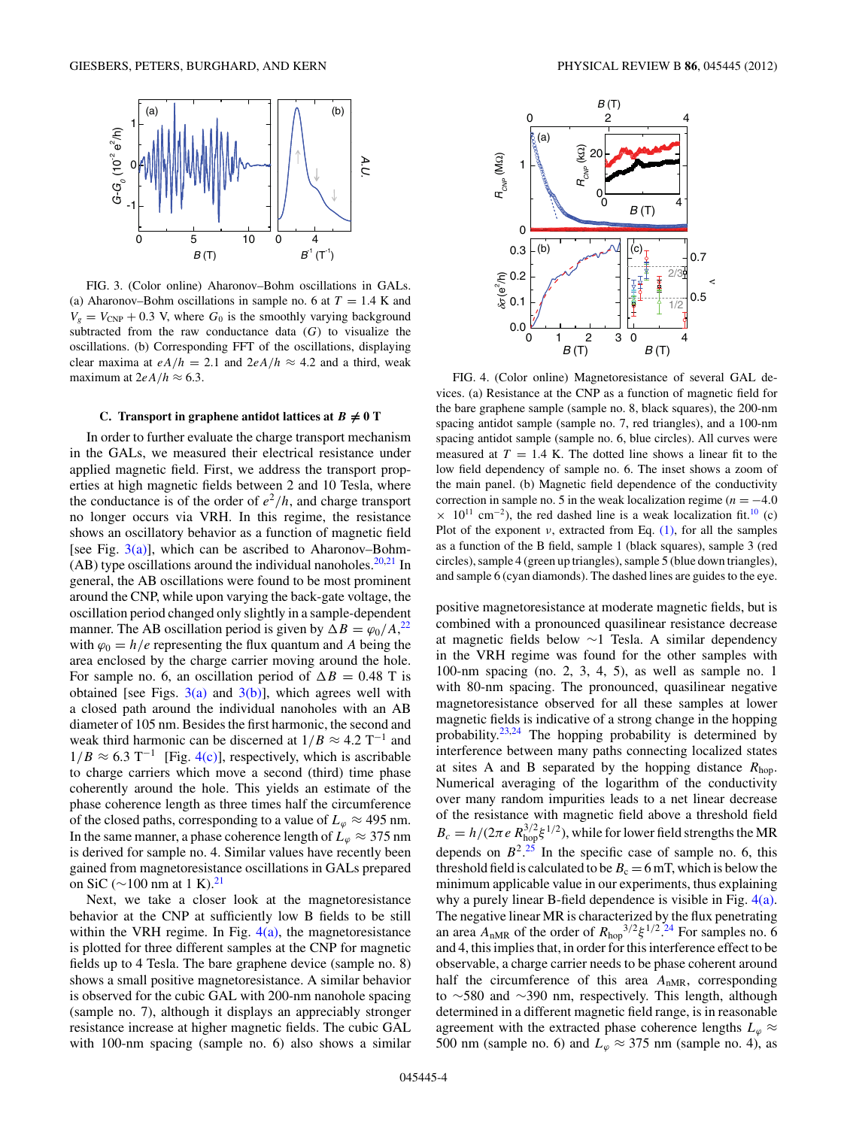<span id="page-3-0"></span>

FIG. 3. (Color online) Aharonov–Bohm oscillations in GALs. (a) Aharonov–Bohm oscillations in sample no. 6 at  $T = 1.4$  K and  $V_g = V_{\text{CNP}} + 0.3$  V, where  $G_0$  is the smoothly varying background subtracted from the raw conductance data (*G*) to visualize the oscillations. (b) Corresponding FFT of the oscillations, displaying clear maxima at  $eA/h = 2.1$  and  $2eA/h \approx 4.2$  and a third, weak maximum at  $2eA/h \approx 6.3$ .

# **C.** Transport in graphene antidot lattices at  $B \neq 0$  T

In order to further evaluate the charge transport mechanism in the GALs, we measured their electrical resistance under applied magnetic field. First, we address the transport properties at high magnetic fields between 2 and 10 Tesla, where the conductance is of the order of  $e^2/h$ , and charge transport no longer occurs via VRH. In this regime, the resistance shows an oscillatory behavior as a function of magnetic field [see Fig.  $3(a)$ ], which can be ascribed to Aharonov–Bohm- $(AB)$  type oscillations around the individual nanoholes.<sup>[20,21](#page-5-0)</sup> In general, the AB oscillations were found to be most prominent around the CNP, while upon varying the back-gate voltage, the oscillation period changed only slightly in a sample-dependent manner. The AB oscillation period is given by  $\Delta B = \varphi_0 / A$ ,<sup>[22](#page-5-0)</sup> with  $\varphi_0 = h/e$  representing the flux quantum and *A* being the area enclosed by the charge carrier moving around the hole. For sample no. 6, an oscillation period of  $\Delta B = 0.48$  T is obtained [see Figs.  $3(a)$  and  $3(b)$ ], which agrees well with a closed path around the individual nanoholes with an AB diameter of 105 nm. Besides the first harmonic, the second and weak third harmonic can be discerned at  $1/B \approx 4.2 \text{ T}^{-1}$  and  $1/B \approx 6.3$  T<sup>-1</sup> [Fig. 4(c)], respectively, which is ascribable to charge carriers which move a second (third) time phase coherently around the hole. This yields an estimate of the phase coherence length as three times half the circumference of the closed paths, corresponding to a value of  $L_\varphi \approx 495$  nm. In the same manner, a phase coherence length of  $L_\varphi \approx 375$  nm is derived for sample no. 4. Similar values have recently been gained from magnetoresistance oscillations in GALs prepared on SiC ( $∼100$  nm at 1 K).<sup>21</sup>

Next, we take a closer look at the magnetoresistance behavior at the CNP at sufficiently low B fields to be still within the VRH regime. In Fig.  $4(a)$ , the magnetoresistance is plotted for three different samples at the CNP for magnetic fields up to 4 Tesla. The bare graphene device (sample no. 8) shows a small positive magnetoresistance. A similar behavior is observed for the cubic GAL with 200-nm nanohole spacing (sample no. 7), although it displays an appreciably stronger resistance increase at higher magnetic fields. The cubic GAL with 100-nm spacing (sample no. 6) also shows a similar



FIG. 4. (Color online) Magnetoresistance of several GAL devices. (a) Resistance at the CNP as a function of magnetic field for the bare graphene sample (sample no. 8, black squares), the 200-nm spacing antidot sample (sample no. 7, red triangles), and a 100-nm spacing antidot sample (sample no. 6, blue circles). All curves were measured at  $T = 1.4$  K. The dotted line shows a linear fit to the low field dependency of sample no. 6. The inset shows a zoom of the main panel. (b) Magnetic field dependence of the conductivity correction in sample no. 5 in the weak localization regime ( $n = -4.0$ )  $\times$  10<sup>11</sup> cm<sup>-2</sup>), the red dashed line is a weak localization fit.<sup>10</sup> (c) Plot of the exponent  $\nu$ , extracted from Eq. [\(1\),](#page-1-0) for all the samples as a function of the B field, sample 1 (black squares), sample 3 (red circles), sample 4 (green up triangles), sample 5 (blue down triangles), and sample 6 (cyan diamonds). The dashed lines are guides to the eye.

positive magnetoresistance at moderate magnetic fields, but is combined with a pronounced quasilinear resistance decrease at magnetic fields below ∼1 Tesla. A similar dependency in the VRH regime was found for the other samples with 100-nm spacing (no. 2, 3, 4, 5), as well as sample no. 1 with 80-nm spacing. The pronounced, quasilinear negative magnetoresistance observed for all these samples at lower magnetic fields is indicative of a strong change in the hopping probability.[23,24](#page-5-0) The hopping probability is determined by interference between many paths connecting localized states at sites A and B separated by the hopping distance *R*hop. Numerical averaging of the logarithm of the conductivity over many random impurities leads to a net linear decrease of the resistance with magnetic field above a threshold field  $B_c = h/(2\pi e R_{\text{hop}}^{3/2} \xi^{1/2})$ , while for lower field strengths the MR depends on  $B^2$ <sup>[25](#page-5-0)</sup>. In the specific case of sample no. 6, this threshold field is calculated to be  $B_c = 6$  mT, which is below the minimum applicable value in our experiments, thus explaining why a purely linear B-field dependence is visible in Fig. 4(a). The negative linear MR is characterized by the flux penetrating an area  $A_{nMR}$  of the order of  $R_{hop}^{3/2} \xi^{1/2}$ .<sup>[24](#page-5-0)</sup> For samples no. 6 and 4, this implies that, in order for this interference effect to be observable, a charge carrier needs to be phase coherent around half the circumference of this area  $A<sub>nMR</sub>$ , corresponding to ∼580 and ∼390 nm, respectively. This length, although determined in a different magnetic field range, is in reasonable agreement with the extracted phase coherence lengths  $L_{\varphi} \approx$ 500 nm (sample no. 6) and  $L_\varphi \approx 375$  nm (sample no. 4), as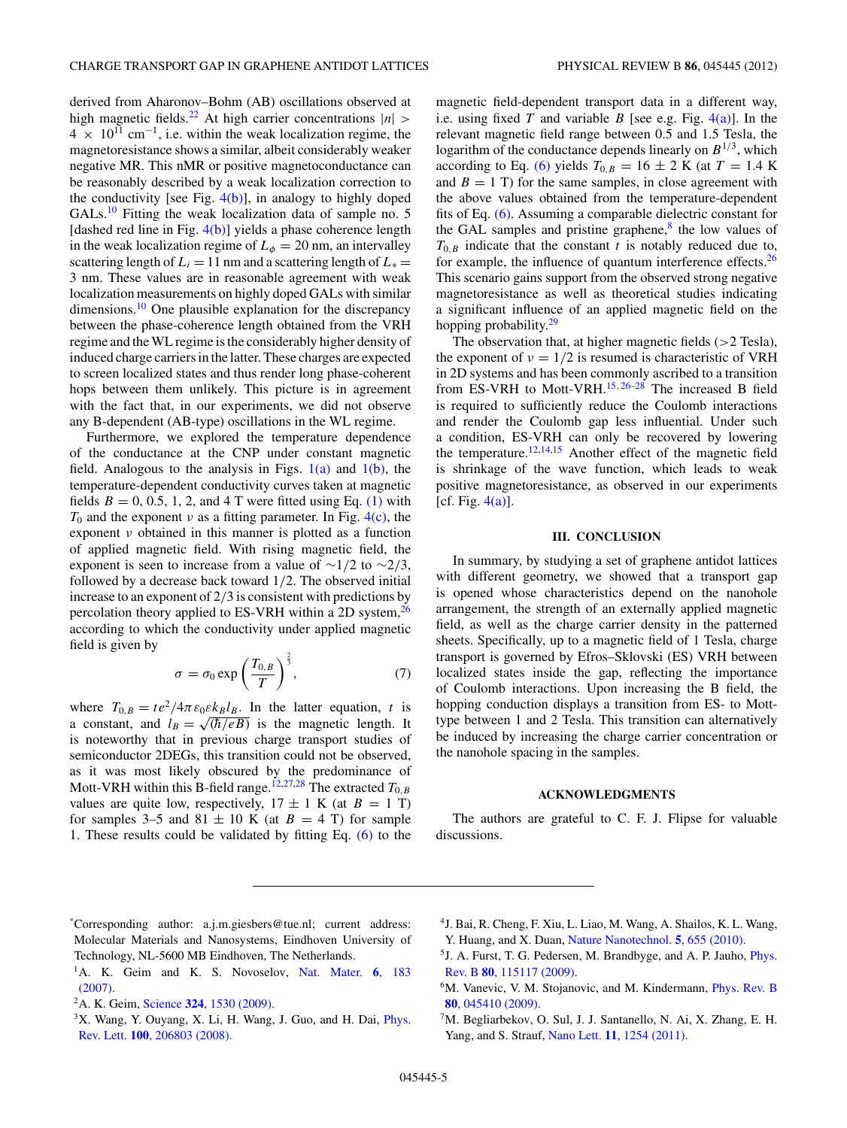<span id="page-4-0"></span>derived from Aharonov–Bohm (AB) oscillations observed at high magnetic fields.<sup>[22](#page-5-0)</sup> At high carrier concentrations  $|n|$  >  $4 \times 10^{11}$  cm<sup>-1</sup>, i.e. within the weak localization regime, the magnetoresistance shows a similar, albeit considerably weaker negative MR. This nMR or positive magnetoconductance can be reasonably described by a weak localization correction to the conductivity [see Fig.  $4(b)$ ], in analogy to highly doped  $GALs<sup>10</sup>$  Fitting the weak localization data of sample no. 5 [dashed red line in Fig.  $4(b)$ ] yields a phase coherence length in the weak localization regime of  $L_{\phi} = 20$  nm, an intervalley scattering length of  $L_i = 11$  nm and a scattering length of  $L_* =$ 3 nm. These values are in reasonable agreement with weak localization measurements on highly doped GALs with similar dimensions.<sup>10</sup> One plausible explanation for the discrepancy between the phase-coherence length obtained from the VRH regime and the WL regime is the considerably higher density of induced charge carriers in the latter. These charges are expected to screen localized states and thus render long phase-coherent hops between them unlikely. This picture is in agreement with the fact that, in our experiments, we did not observe any B-dependent (AB-type) oscillations in the WL regime.

Furthermore, we explored the temperature dependence of the conductance at the CNP under constant magnetic field. Analogous to the analysis in Figs.  $1(a)$  and  $1(b)$ , the temperature-dependent conductivity curves taken at magnetic fields  $B = 0, 0.5, 1, 2,$  and 4 T were fitted using Eq. [\(1\)](#page-1-0) with  $T_0$  and the exponent  $\nu$  as a fitting parameter. In Fig. [4\(c\),](#page-3-0) the exponent *ν* obtained in this manner is plotted as a function of applied magnetic field. With rising magnetic field, the exponent is seen to increase from a value of ∼1*/*2 to ∼2*/*3, followed by a decrease back toward 1*/*2. The observed initial increase to an exponent of 2*/*3 is consistent with predictions by percolation theory applied to ES-VRH within a 2D system, $^{26}$ according to which the conductivity under applied magnetic field is given by

$$
\sigma = \sigma_0 \exp\left(\frac{T_{0,B}}{T}\right)^{\frac{2}{3}},\tag{7}
$$

where  $T_{0,B} = te^2/4\pi \varepsilon_0 \varepsilon k_B l_B$ . In the latter equation, *t* is a constant, and  $l_B = \sqrt{\frac{\hbar}{eB}}$  is the magnetic length. It is noteworthy that in previous charge transport studies of semiconductor 2DEGs, this transition could not be observed, as it was most likely obscured by the predominance of Mott-VRH within this B-field range.<sup>[12,27,28](#page-5-0)</sup> The extracted  $T_{0,B}$ values are quite low, respectively,  $17 \pm 1$  K (at  $B = 1$  T) for samples 3–5 and 81  $\pm$  10 K (at *B* = 4 T) for sample 1. These results could be validated by fitting Eq. [\(6\)](#page-2-0) to the magnetic field-dependent transport data in a different way, i.e. using fixed *T* and variable *B* [see e.g. Fig.  $4(a)$ ]. In the relevant magnetic field range between 0.5 and 1.5 Tesla, the logarithm of the conductance depends linearly on  $B^{1/3}$ , which according to Eq. [\(6\)](#page-2-0) yields  $T_{0,B} = 16 \pm 2$  K (at  $T = 1.4$  K and  $B = 1$  T) for the same samples, in close agreement with the above values obtained from the temperature-dependent fits of Eq. [\(6\).](#page-2-0) Assuming a comparable dielectric constant for the GAL samples and pristine graphene, $\frac{8}{3}$  $\frac{8}{3}$  $\frac{8}{3}$  the low values of  $T_{0,B}$  indicate that the constant *t* is notably reduced due to, for example, the influence of quantum interference effects. $26$ This scenario gains support from the observed strong negative magnetoresistance as well as theoretical studies indicating a significant influence of an applied magnetic field on the hopping probability.<sup>[29](#page-5-0)</sup>

The observation that, at higher magnetic fields (*>*2 Tesla), the exponent of  $\nu = 1/2$  is resumed is characteristic of VRH in 2D systems and has been commonly ascribed to a transition from ES-VRH to Mott-VRH.[15](#page-5-0)*,*[26–28](#page-5-0) The increased B field is required to sufficiently reduce the Coulomb interactions and render the Coulomb gap less influential. Under such a condition, ES-VRH can only be recovered by lowering the temperature.<sup>[12,14,15](#page-5-0)</sup> Another effect of the magnetic field is shrinkage of the wave function, which leads to weak positive magnetoresistance, as observed in our experiments [cf. Fig.  $4(a)$ ].

# **III. CONCLUSION**

In summary, by studying a set of graphene antidot lattices with different geometry, we showed that a transport gap is opened whose characteristics depend on the nanohole arrangement, the strength of an externally applied magnetic field, as well as the charge carrier density in the patterned sheets. Specifically, up to a magnetic field of 1 Tesla, charge transport is governed by Efros–Sklovski (ES) VRH between localized states inside the gap, reflecting the importance of Coulomb interactions. Upon increasing the B field, the hopping conduction displays a transition from ES- to Motttype between 1 and 2 Tesla. This transition can alternatively be induced by increasing the charge carrier concentration or the nanohole spacing in the samples.

#### **ACKNOWLEDGMENTS**

The authors are grateful to C. F. J. Flipse for valuable discussions.

- 4J. Bai, R. Cheng, F. Xiu, L. Liao, M. Wang, A. Shailos, K. L. Wang, Y. Huang, and X. Duan, [Nature Nanotechnol.](http://dx.doi.org/10.1038/nnano.2010.154) **5**, 655 (2010).
- <sup>5</sup> J. A. Furst, T. G. Pedersen, M. Brandbyge, and A. P. Jauho, *[Phys.](http://dx.doi.org/10.1103/PhysRevB.80.115117)* Rev. B **80**[, 115117 \(2009\).](http://dx.doi.org/10.1103/PhysRevB.80.115117)
- <sup>6</sup>M. Vanevic, V. M. Stojanovic, and M. Kindermann, *[Phys. Rev. B](http://dx.doi.org/10.1103/PhysRevB.80.045410)* **80**[, 045410 \(2009\).](http://dx.doi.org/10.1103/PhysRevB.80.045410)
- ${}^{7}$ M. Begliarbekov, O. Sul, J. J. Santanello, N. Ai, X. Zhang, E. H. Yang, and S. Strauf, Nano Lett. **11**[, 1254 \(2011\).](http://dx.doi.org/10.1021/nl1042648)

<sup>\*</sup> Corresponding author: a.j.m.giesbers@tue.nl; current address: Molecular Materials and Nanosystems, Eindhoven University of Technology, NL-5600 MB Eindhoven, The Netherlands.

<sup>&</sup>lt;sup>1</sup>A. K. Geim and K. S. Novoselov, [Nat. Mater.](http://dx.doi.org/10.1038/nmat1849) 6, 183 [\(2007\).](http://dx.doi.org/10.1038/nmat1849)

<sup>2</sup>A. K. Geim, Science **324**[, 1530 \(2009\).](http://dx.doi.org/10.1126/science.1158877)

 $3X$ . Wang, Y. Ouyang, X. Li, H. Wang, J. Guo, and H. Dai, *[Phys.](http://dx.doi.org/10.1103/PhysRevLett.100.206803)* Rev. Lett. **100**[, 206803 \(2008\).](http://dx.doi.org/10.1103/PhysRevLett.100.206803)